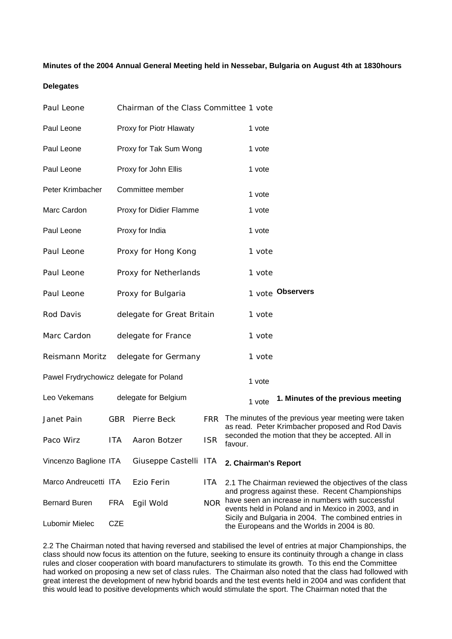### **Minutes of the 2004 Annual General Meeting held in Nessebar, Bulgaria on August 4th at 1830hours**

#### **Delegates**

| Paul Leone                                        |                                                | Chairman of the Class Committee 1 vote       |                  |                                                                                                                                                             |  |
|---------------------------------------------------|------------------------------------------------|----------------------------------------------|------------------|-------------------------------------------------------------------------------------------------------------------------------------------------------------|--|
| Paul Leone                                        | Proxy for Piotr Hlawaty                        |                                              |                  | 1 vote                                                                                                                                                      |  |
| Paul Leone                                        | Proxy for Tak Sum Wong<br>Proxy for John Ellis |                                              |                  | 1 vote                                                                                                                                                      |  |
| Paul Leone                                        |                                                |                                              | 1 vote           |                                                                                                                                                             |  |
| Peter Krimbacher                                  |                                                | Committee member                             |                  | 1 vote                                                                                                                                                      |  |
| Marc Cardon                                       |                                                | Proxy for Didier Flamme                      |                  | 1 vote                                                                                                                                                      |  |
| Paul Leone                                        |                                                | Proxy for India                              |                  | 1 vote                                                                                                                                                      |  |
| Paul Leone                                        |                                                | Proxy for Hong Kong                          |                  | 1 vote                                                                                                                                                      |  |
| Paul Leone                                        | Proxy for Netherlands                          |                                              |                  | 1 vote                                                                                                                                                      |  |
| Paul Leone<br>Proxy for Bulgaria                  |                                                |                                              | 1 vote Observers |                                                                                                                                                             |  |
| Rod Davis<br>delegate for Great Britain           |                                                |                                              | 1 vote           |                                                                                                                                                             |  |
| Marc Cardon                                       | delegate for France                            |                                              |                  | 1 vote                                                                                                                                                      |  |
| Reismann Moritz<br>delegate for Germany           |                                                |                                              | 1 vote           |                                                                                                                                                             |  |
| Pawel Frydrychowicz delegate for Poland<br>1 vote |                                                |                                              |                  |                                                                                                                                                             |  |
| Leo Vekemans<br>delegate for Belgium              |                                                | 1. Minutes of the previous meeting<br>1 vote |                  |                                                                                                                                                             |  |
| Janet Pain                                        |                                                | GBR Pierre Beck                              | <b>FRR</b>       | The minutes of the previous year meeting were taken<br>as read. Peter Krimbacher proposed and Rod Davis                                                     |  |
| Paco Wirz                                         | ITA                                            | Aaron Botzer                                 | <b>ISR</b>       | seconded the motion that they be accepted. All in<br>tavour.                                                                                                |  |
| Vincenzo Baglione ITA                             |                                                | Giuseppe Castelli ITA                        |                  | 2. Chairman's Report                                                                                                                                        |  |
| Marco Andreucetti ITA                             |                                                | Ezio Ferin                                   | <b>ITA</b>       | 2.1 The Chairman reviewed the objectives of the class                                                                                                       |  |
| <b>Bernard Buren</b>                              | <b>FRA</b>                                     | Egil Wold                                    | <b>NOR</b>       | and progress against these. Recent Championships<br>have seen an increase in numbers with successful<br>events held in Poland and in Mexico in 2003, and in |  |
| Lubomir Mielec                                    | <b>CZE</b>                                     |                                              |                  | Sicily and Bulgaria in 2004. The combined entries in<br>the Europeans and the Worlds in 2004 is 80.                                                         |  |

2.2 The Chairman noted that having reversed and stabilised the level of entries at major Championships, the class should now focus its attention on the future, seeking to ensure its continuity through a change in class rules and closer cooperation with board manufacturers to stimulate its growth. To this end the Committee had worked on proposing a new set of class rules. The Chairman also noted that the class had followed with great interest the development of new hybrid boards and the test events held in 2004 and was confident that this would lead to positive developments which would stimulate the sport. The Chairman noted that the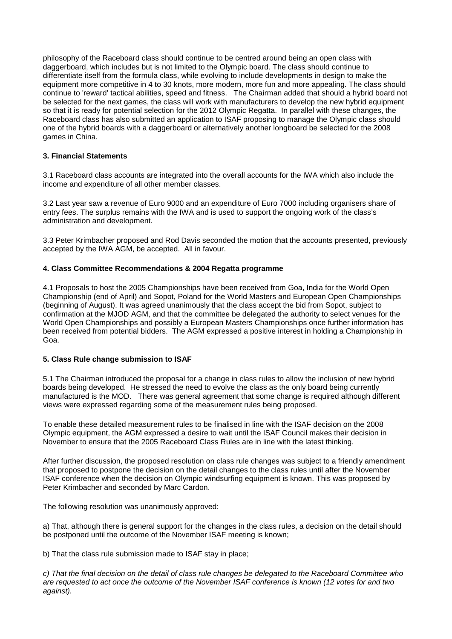philosophy of the Raceboard class should continue to be centred around being an open class with daggerboard, which includes but is not limited to the Olympic board. The class should continue to differentiate itself from the formula class, while evolving to include developments in design to make the equipment more competitive in 4 to 30 knots, more modern, more fun and more appealing. The class should continue to 'reward' tactical abilities, speed and fitness. The Chairman added that should a hybrid board not be selected for the next games, the class will work with manufacturers to develop the new hybrid equipment so that it is ready for potential selection for the 2012 Olympic Regatta. In parallel with these changes, the Raceboard class has also submitted an application to ISAF proposing to manage the Olympic class should one of the hybrid boards with a daggerboard or alternatively another longboard be selected for the 2008 games in China.

## **3. Financial Statements**

3.1 Raceboard class accounts are integrated into the overall accounts for the IWA which also include the income and expenditure of all other member classes.

3.2 Last year saw a revenue of Euro 9000 and an expenditure of Euro 7000 including organisers share of entry fees. The surplus remains with the IWA and is used to support the ongoing work of the class's administration and development.

3.3 Peter Krimbacher proposed and Rod Davis seconded the motion that the accounts presented, previously accepted by the IWA AGM, be accepted. All in favour.

## **4. Class Committee Recommendations & 2004 Regatta programme**

4.1 Proposals to host the 2005 Championships have been received from Goa, India for the World Open Championship (end of April) and Sopot, Poland for the World Masters and European Open Championships (beginning of August). It was agreed unanimously that the class accept the bid from Sopot, subject to confirmation at the MJOD AGM, and that the committee be delegated the authority to select venues for the World Open Championships and possibly a European Masters Championships once further information has been received from potential bidders. The AGM expressed a positive interest in holding a Championship in Goa.

### **5. Class Rule change submission to ISAF**

5.1 The Chairman introduced the proposal for a change in class rules to allow the inclusion of new hybrid boards being developed. He stressed the need to evolve the class as the only board being currently manufactured is the MOD. There was general agreement that some change is required although different views were expressed regarding some of the measurement rules being proposed.

To enable these detailed measurement rules to be finalised in line with the ISAF decision on the 2008 Olympic equipment, the AGM expressed a desire to wait until the ISAF Council makes their decision in November to ensure that the 2005 Raceboard Class Rules are in line with the latest thinking.

After further discussion, the proposed resolution on class rule changes was subject to a friendly amendment that proposed to postpone the decision on the detail changes to the class rules until after the November ISAF conference when the decision on Olympic windsurfing equipment is known. This was proposed by Peter Krimbacher and seconded by Marc Cardon.

The following resolution was unanimously approved:

a) That, although there is general support for the changes in the class rules, a decision on the detail should be postponed until the outcome of the November ISAF meeting is known;

b) That the class rule submission made to ISAF stay in place;

*c) That the final decision on the detail of class rule changes be delegated to the Raceboard Committee who are requested to act once the outcome of the November ISAF conference is known (12 votes for and two against).*